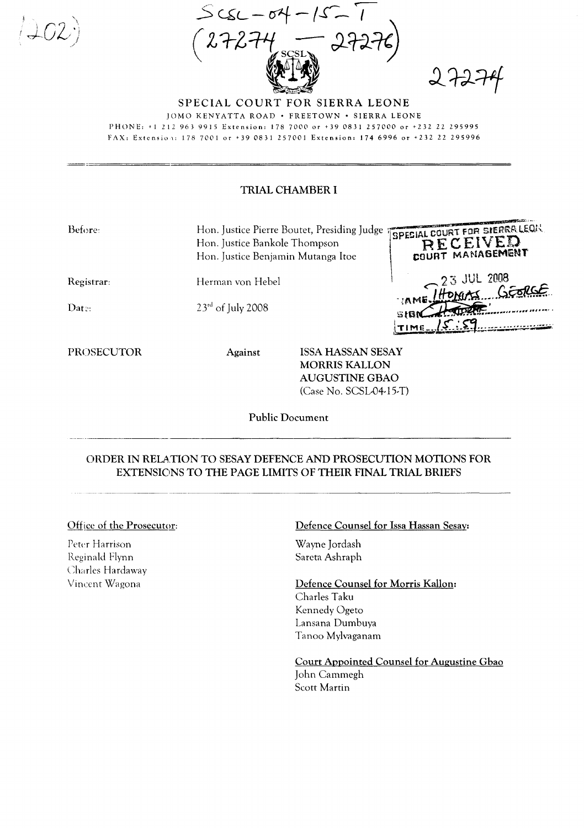$=$  :  $=$  :

 $-52$ 



SPECIAL COURT FOR SIERRA LEONE JOMO KENYATTA ROAD . FREETOWN . SIERRA LEONE PHONE: +1 212 963 9915 Extension: 178 7000 or +39 0831 257000 or +232 22 295995 FAX: Extension: 178 7001 or +39 0831 257001 Extension: 174 6996 or +232 22 295996

## TRIAL CHAMBER I

| Before:                  | Hon. Justice Pierre Boutet, Presiding Judge<br>Hon. Justice Bankole Thompson<br>Hon. Justice Benjamin Mutanga Itoe |                   | ISPECIAL COURT FOR SIERRALEON.<br>RECEIVED<br><b>COURT MANAGEMENT</b> |
|--------------------------|--------------------------------------------------------------------------------------------------------------------|-------------------|-----------------------------------------------------------------------|
| Registrar:               | Herman von Hebel                                                                                                   |                   | 23 JUL 2008                                                           |
| $\mathop{\text{Data}}$ : | $23rd$ of July 2008                                                                                                |                   | <b>MODER</b>                                                          |
| PROSECUTOR               | Against                                                                                                            | ISSA HASSAN SESAY |                                                                       |

**MORRIS KALLON AUGUSTINE GBAO** (Case No. SCSL-04-15-T)

**Public Document** 

## ORDER IN RELATION TO SESAY DEFENCE AND PROSECUTION MOTIONS FOR EXTENSIONS TO THE PAGE LIMITS OF THEIR FINAL TRIAL BRIEFS

## Office of the Prosecutor:

Peter Harrison Reginald Flynn Charles Hardaway Vincent Wagona

## Defence Counsel for Issa Hassan Sesay:

Wayne Jordash Sareta Ashraph

Defence Counsel for Morris Kallon: Charles Taku Kennedy Ogeto Lansana Dumbuya Tanoo Mylvaganam

Court Appointed Counsel for Augustine Gbao John Cammegh Scott Martin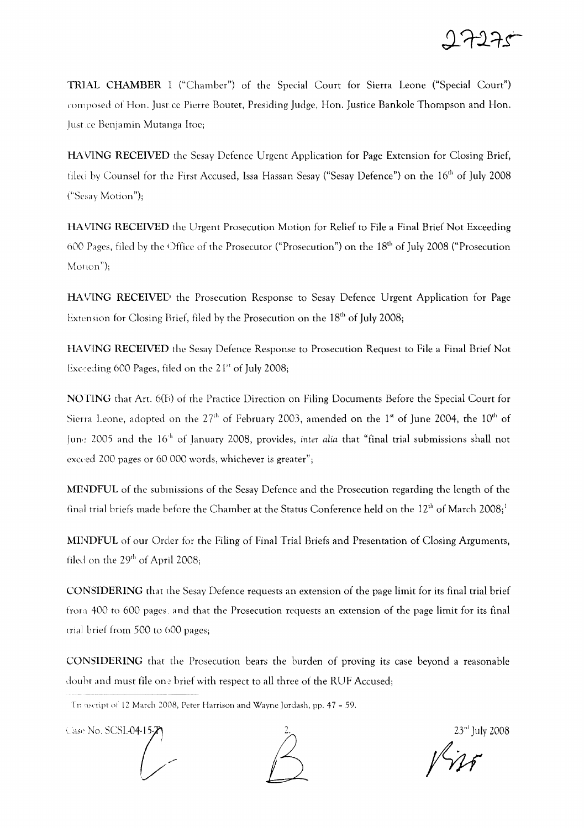

TRlA.L CHAMBER ("Chamber") of the Special Court for Sierra Leone ("Special Court") composed of Hon. Just ce Pierre Boutet, Presiding Judge, Hon. Justice Bankole Thompson and Hon. Just ce Benjamin Mutanga ltoe;

HAVlING RECEIVED the Sesay Defence Urgent Application for Page Extension for Closing Brief, tiled by Counsel for the First Accused, Issa Hassan Sesay ("Sesay Defence") on the 16<sup>th</sup> of July 2008 C'Scsay Motion");

HAVING RECEIVED the Urgent Prosecution Motion for Relief to File a Final Brief Not Exceeding 600 Pages, filed by the Office of the Prosecutor ("Prosecution") on the 18<sup>th</sup> of July 2008 ("Prosecution Motion");

HAVING RECEIVED the Prosecution Response to Sesay Defence Urgent Application for Page Extension for Closing Brief, filed by the Prosecution on the  $18<sup>th</sup>$  of July 2008;

HA VIING RECEIVED the Sesay Defence Response to Prosecution Request to File a Final Brief Not Exceeding 600 Pages, filed on the  $21<sup>st</sup>$  of July 2008;

NOTING that Art. 6(Fi) of the Practice Direction on Filing Documents Before the Special Court for Sierra Leone, adopted on the 27<sup>th</sup> of February 2003, amended on the 1<sup>st</sup> of June 2004, the 10<sup>th</sup> of June 2005 and the 16<sup>th</sup> of January 2008, provides, *inter alia* that "final trial submissions shall not exceed 200 pages or 60 000 words, whichever is greater";

MINDFUL of the submissions of the Sesay Defence and the Prosecution regarding the length of the final trial briefs made before the Chamber at the Status Conference held on the 12<sup>th</sup> of March 2008;<sup>1</sup>

MINDFUL of our Order for the Filing of Final Trial Briefs and Presentation of Closing Arguments, filed on the 29<sup>th</sup> of April 2008;

CONSIDERING that the Sesay Defence requests an extension of the page limit for its final trial brief from 400 to 600 pages, and that the Prosecution requests an extension of the page limit for its final trial brief from 500 to 600 pages;

CONSIDERING that the Prosecution bears the burden of proving its case beyond a reasonable douht and must file one brief with respect to all three of the RUF Accused;

Case No. SCSL-04-15



 $23<sup>rd</sup>$  July 2008

fYH

Tr: nscript of 12 March 2008, Peter Harrison and Wayne Jordash, pp. 47 - 59.